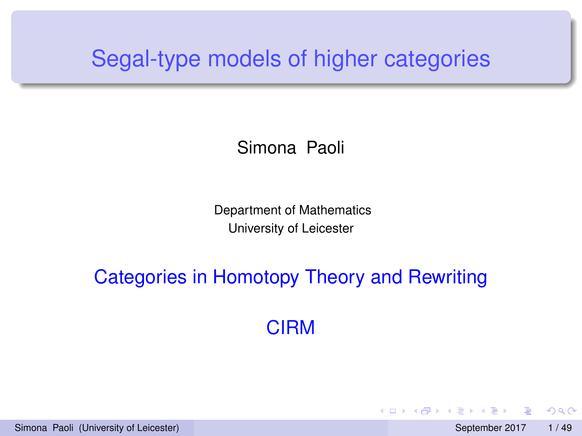# <span id="page-0-0"></span>Segal-type models of higher categories

#### Simona Paoli

Department of Mathematics University of Leicester

# Categories in Homotopy Theory and Rewriting

CIRM

Simona Paoli (University of Leicester) September 2017 1/49

 $\Omega$ 

イロト イ押ト イヨト イヨト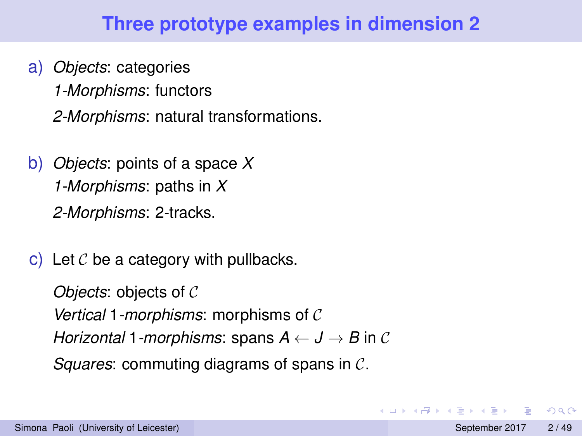# **Three prototype examples in dimension 2**

- a) *Objects*: categories *1-Morphisms*: functors *2-Morphisms*: natural transformations.
- b) *Objects*: points of a space *X 1-Morphisms*: paths in *X 2-Morphisms*: 2-tracks.
- c) Let  $\mathcal C$  be a category with pullbacks.

*Objects*: objects of C *Vertical* 1*-morphisms*: morphisms of C *Horizontal* 1*-morphisms*: spans  $A \leftarrow J \rightarrow B$  in C *Squares*: commuting diagrams of spans in C.

 $\Omega$ 

 $A \cap \overline{B} \rightarrow A \Rightarrow A \Rightarrow A \Rightarrow B$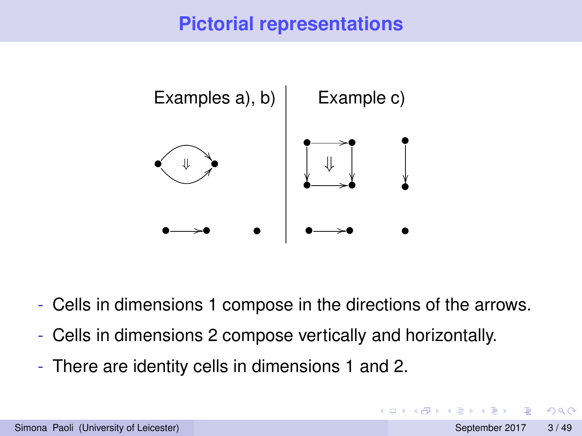# **Pictorial representations**

<span id="page-2-0"></span>

- Cells in dimensions 1 compose in the directions of the arrows.
- Cells in dimensions 2 compose vertically and horizontally.
- There are identity cells in dimensions 1 and 2.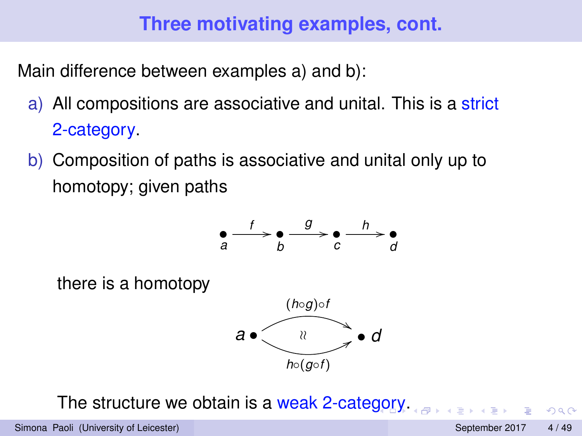# **Three motivating examples, cont.**

Main difference between examples a) and b):

- a) All compositions are associative and unital. This is a strict 2-category.
- b) Composition of paths is associative and unital only up to homotopy; given paths



The structure we obtain is a weak 2-cate[go](#page-2-0)r[y.](#page-4-0)

 $QQ$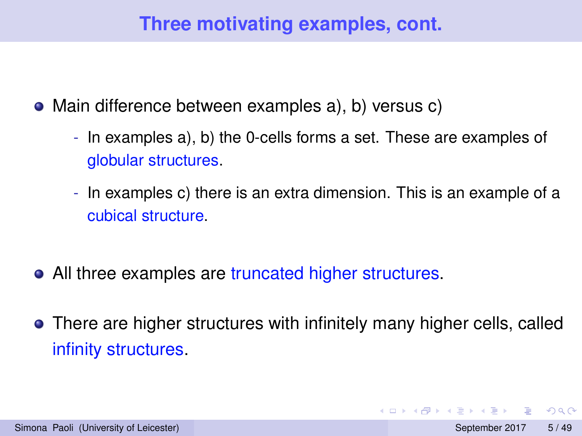# **Three motivating examples, cont.**

- <span id="page-4-0"></span>Main difference between examples a), b) versus c)
	- In examples a), b) the 0-cells forms a set. These are examples of globular structures.
	- In examples c) there is an extra dimension. This is an example of a cubical structure.
- All three examples are truncated higher structures.
- There are higher structures with infinitely many higher cells, called infinity structures.

 $\Omega$ 

 $(0,1)$   $(0,1)$   $(0,1)$   $(1,1)$   $(1,1)$   $(1,1)$   $(1,1)$   $(1,1)$   $(1,1)$   $(1,1)$   $(1,1)$   $(1,1)$   $(1,1)$   $(1,1)$   $(1,1)$   $(1,1)$   $(1,1)$   $(1,1)$   $(1,1)$   $(1,1)$   $(1,1)$   $(1,1)$   $(1,1)$   $(1,1)$   $(1,1)$   $(1,1)$   $(1,1)$   $(1,1$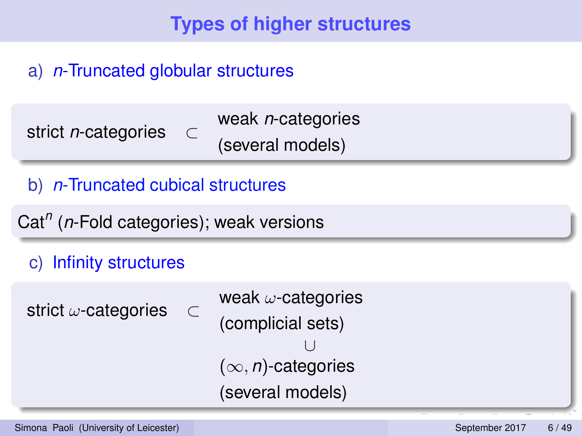# **Types of higher structures**

#### a) *n*-Truncated globular structures

| strict <i>n</i> -categories |  | weak $n$ -categories |
|-----------------------------|--|----------------------|
|                             |  | (several models)     |

#### b) *n*-Truncated cubical structures

Cat*<sup>n</sup>* (*n*-Fold categories); weak versions

#### c) Infinity structures

strict *ω*-categories ⊂

```
weak \omega-categories
(complicial sets)
            ∪
(∞, n)-categories
(several models)
```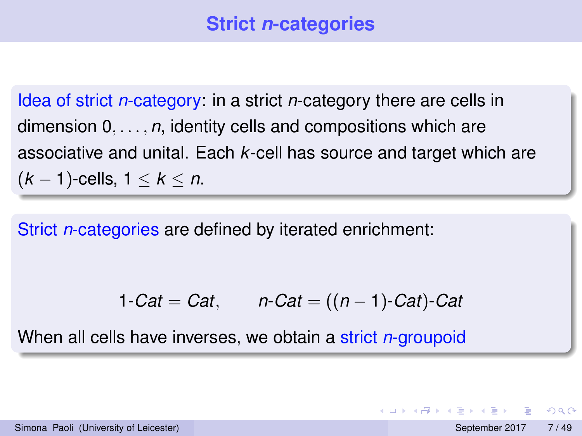Idea of strict *n*-category: in a strict *n*-category there are cells in dimension 0, . . . , *n*, identity cells and compositions which are associative and unital. Each *k*-cell has source and target which are (*k* − 1)-cells, 1 ≤ *k* ≤ *n*.

Strict *n*-categories are defined by iterated enrichment:

$$
1-Cat = Cat, \qquad n-Cat = ((n-1)-Cat)-Cat
$$

When all cells have inverses, we obtain a strict *n*-groupoid

 $\Omega$ 

イロト イ押ト イヨト イヨ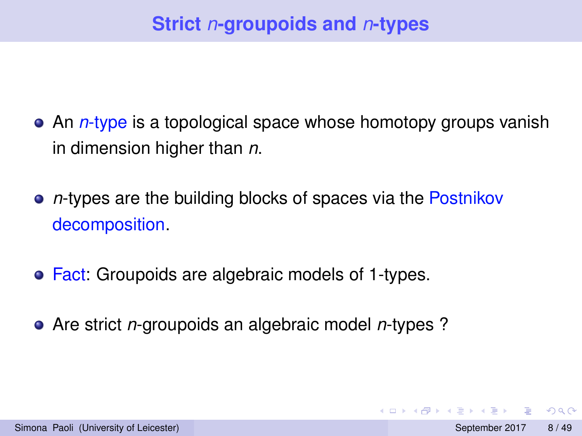- An *n*-type is a topological space whose homotopy groups vanish in dimension higher than *n*.
- **•** *n*-types are the building blocks of spaces via the Postnikov decomposition.
- **Fact: Groupoids are algebraic models of 1-types.**
- Are strict *n*-groupoids an algebraic model *n*-types ?

 $\Omega$ 

イロト イ押ト イヨト イヨ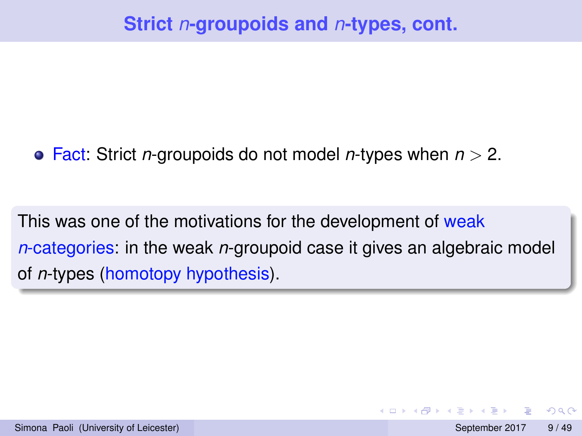Fact: Strict *n*-groupoids do not model *n*-types when *n* > 2.

This was one of the motivations for the development of weak *n*-categories: in the weak *n*-groupoid case it gives an algebraic model of *n*-types (homotopy hypothesis).

 $\Omega$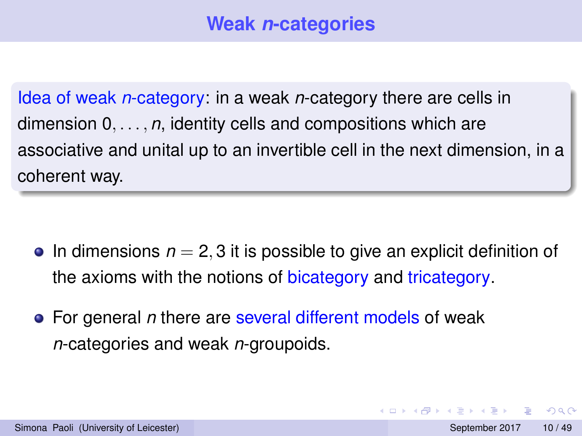Idea of weak *n*-category: in a weak *n*-category there are cells in dimension 0, . . . , *n*, identity cells and compositions which are associative and unital up to an invertible cell in the next dimension, in a coherent way.

- $\bullet$  In dimensions  $n = 2, 3$  it is possible to give an explicit definition of the axioms with the notions of bicategory and tricategory.
- For general *n* there are several different models of weak *n*-categories and weak *n*-groupoids.

 $\Omega$ 

 $4.33 \times 4.35$ 

 $\leftarrow$   $\leftarrow$   $\leftarrow$   $\leftarrow$   $\leftarrow$   $\leftarrow$   $\leftarrow$   $\leftarrow$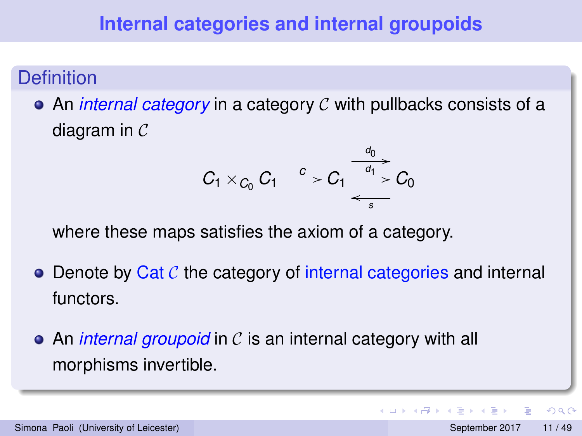#### **Definition**

An *internal category* in a category C with pullbacks consists of a diagram in C

$$
C_1 \times_{C_0} C_1 \xrightarrow{c} C_1 \xrightarrow{\frac{d_0}{d_1}} C_0
$$

where these maps satisfies the axiom of a category.

- $\bullet$  Denote by Cat C the category of internal categories and internal functors.
- An *internal groupoid* in C is an internal category with all morphisms invertible.

 $\Omega$ 

不重 的不重

4 **D + 4 P +**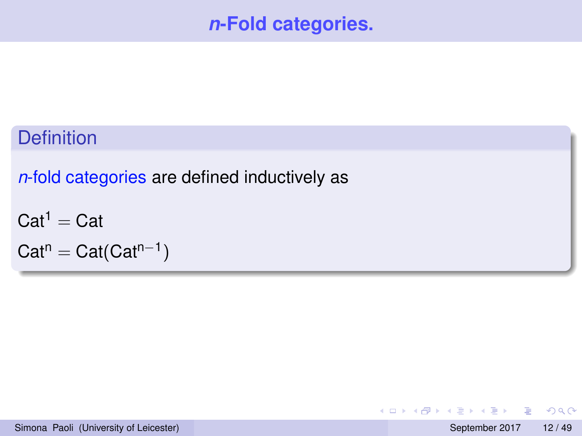# *n***-Fold categories.**

# <span id="page-11-0"></span>**Definition**

*n*-fold categories are defined inductively as

 $Cat<sup>1</sup> = Cat$ 

 $\mathsf{Cat}^n = \mathsf{Cat}(\mathsf{Cat}^{n-1})$ 

 $QQ$ 

 $(0.125 \times 10^{-14} \text{ m}) \times 10^{-14} \text{ m}$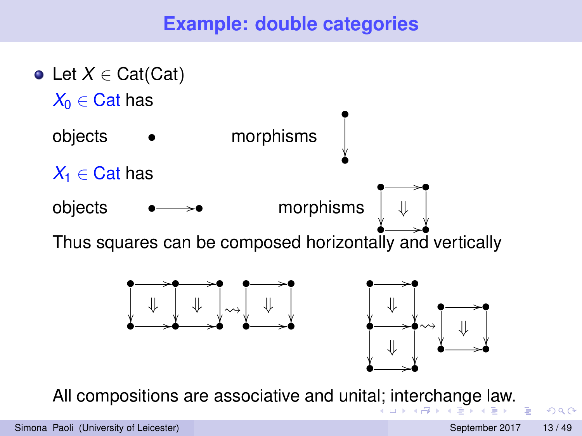# **Example: double categories**

<span id="page-12-0"></span>

All compositions are associative and unit[al;](#page-11-0) i[nt](#page-13-0)[e](#page-11-0)[rc](#page-12-0)[h](#page-13-0)[an](#page-0-0)[ge](#page-48-0) [l](#page-0-0)[aw](#page-48-0)[.](#page-0-0)

 $\Omega$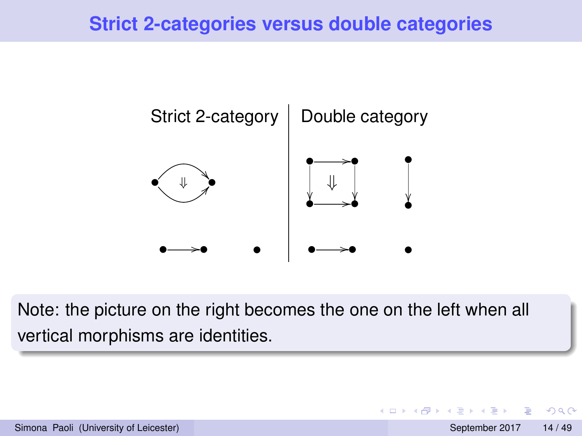# <span id="page-13-0"></span>**Strict 2-categories versus double categories**



Note: the picture on the right becomes the one on the left when all vertical morphisms are identities.

 $\Omega$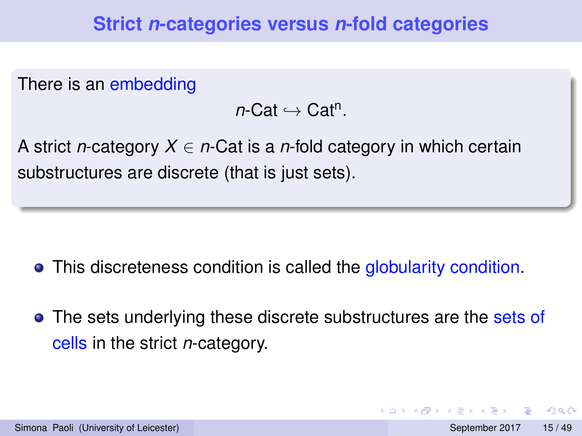There is an embedding

 $n$ -Cat  $\hookrightarrow$  Cat<sup>n</sup>.

A strict *n*-category *X* ∈ *n*-Cat is a *n*-fold category in which certain substructures are discrete (that is just sets).

- This discreteness condition is called the globularity condition.
- The sets underlying these discrete substructures are the sets of cells in the strict *n*-category.

 $\Omega$ 

 $4.33 \times 4.35$ 

 $1.73 \times 1.025$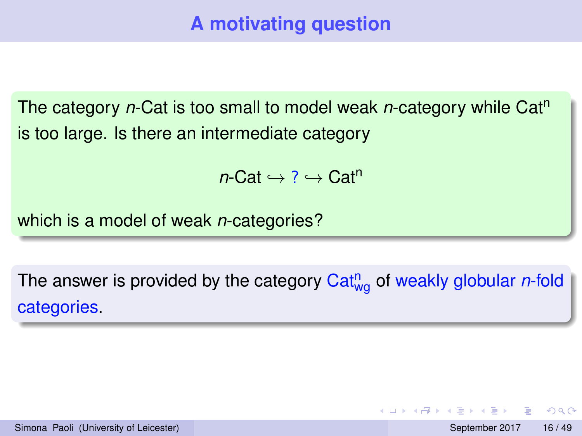The category *n*-Cat is too small to model weak *n*-category while Cat<sup>n</sup> is too large. Is there an intermediate category

 $n$ -Cat  $\hookrightarrow$  ?  $\hookrightarrow$  Cat<sup>n</sup>

which is a model of weak *n*-categories?

The answer is provided by the category Cat<sup>n</sup><sub>wg</sub> of weakly globular *n*-fold categories.

 $\Omega$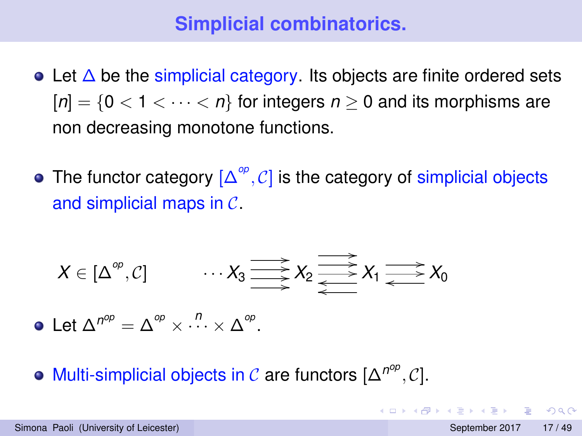# **Simplicial combinatorics.**

- Let  $\Delta$  be the simplicial category. Its objects are finite ordered sets  $[n] = \{0 < 1 < \cdots < n\}$  for integers  $n \geq 0$  and its morphisms are non decreasing monotone functions.
- The functor category  $[\Delta^{\mathcal{P}}, \mathcal{C}]$  is the category of simplicial objects and simplicial maps in C.

$$
X \in [\Delta^{\circ p}, C] \qquad \cdots X_3 \longrightarrow X_2 \longrightarrow X_1 \longrightarrow X_0
$$

Let  $\Delta^{n^{op}} = \Delta^{op} \times$  $\cdot \cdot \cdot \cdot \times \Delta^{op}.$ 

Multi-simplicial objects in  $\mathcal C$  are functors  $[\Delta^{n^{op}}, \mathcal C].$ 

KET KALLAS YER EL VOO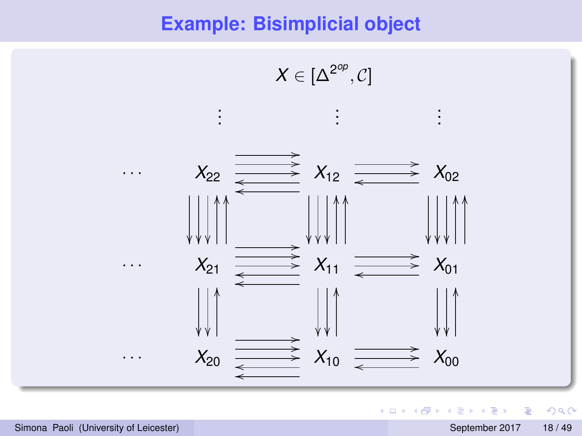#### **Example: Bisimplicial object**



重

 $299$ 

(ロトイ部)→(差)→(差)→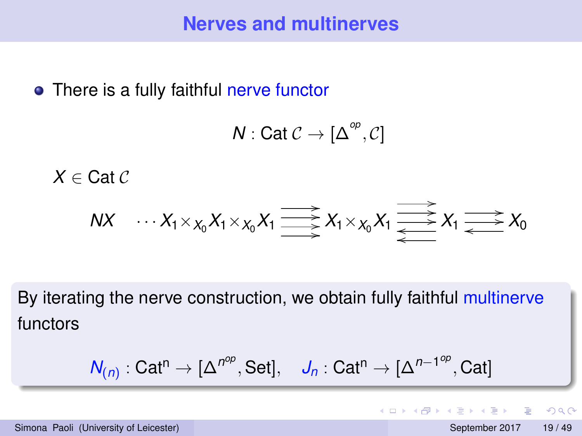• There is a fully faithful nerve functor

$$
N: Cat \mathcal{C} \rightarrow [\Delta^{\mathcal{O}_p}, \mathcal{C}]
$$

 $X \in \text{Cat } C$ 

$$
NX \cdots X_1 \times_{X_0} X_1 \times_{X_0} X_1 \xrightarrow{\longrightarrow} X_1 \times_{X_0} X_1 \xrightarrow{\longrightarrow} X_1 \xrightarrow{\longrightarrow} X_0
$$

By iterating the nerve construction, we obtain fully faithful multinerve functors

$$
\mathsf{N}_{(n)}: \mathsf{Cat}^{n} \to [\Delta^{n^{op}}, \mathsf{Set}], \quad \mathsf{J}_{n}: \mathsf{Cat}^{n} \to [\Delta^{n-1^{op}}, \mathsf{Cat}]
$$

and in

 $\leftarrow$   $\leftarrow$   $\leftarrow$ 

 $\Omega$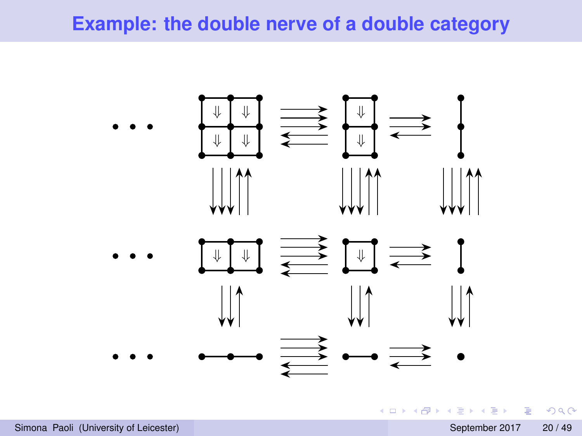#### **Example: the double nerve of a double category**



 $\equiv$ 

 $\Omega$ 

(ロトイ部)→(差)→(差)→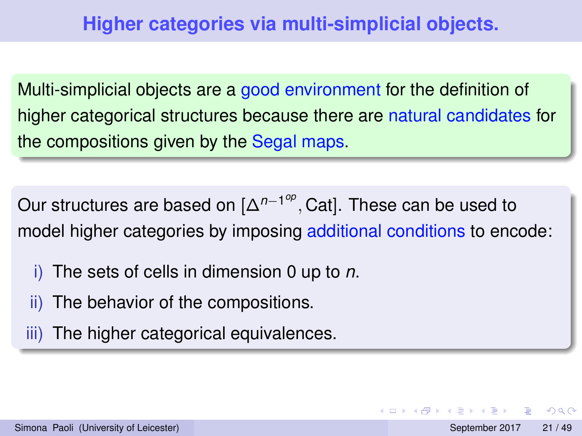Multi-simplicial objects are a good environment for the definition of higher categorical structures because there are natural candidates for the compositions given by the Segal maps.

Our structures are based on [∆<sup>n−1°</sup><sup>°</sup>, Cat]. These can be used to model higher categories by imposing additional conditions to encode:

- i) The sets of cells in dimension 0 up to *n*.
- ii) The behavior of the compositions.
- iii) The higher categorical equivalences.

 $\Omega$ 

イロト イ押 トイラト イラト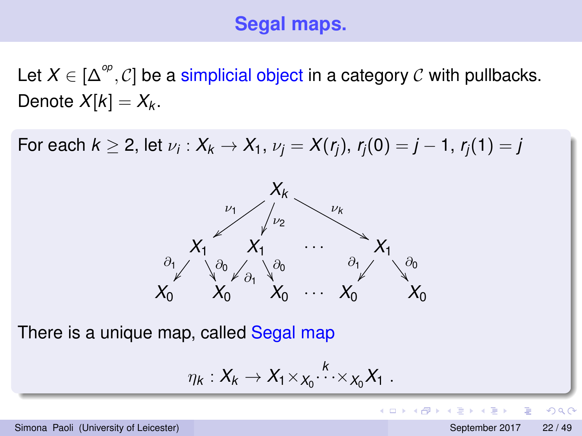# **Segal maps.**

Let  $X \in [\Delta^{op}, C]$  be a simplicial object in a category  $C$  with pullbacks. Denote  $X[k] = X_k$ .

For each  $k \geq 2$ , let  $\nu_i: X_k \to X_1$ ,  $\nu_j = X(r_j)$ ,  $r_j(0) = j - 1$ ,  $r_j(1) = j$ 



There is a unique map, called Segal map

$$
\eta_k:X_k\to X_1\times_{X_0} \cdots \times_{X_0} X_1.
$$

 $QQQ$ 

 $(0.123 \times 10^{-14} \text{ m}) \times 10^{-14} \text{ m} \times 10^{-14} \text{ m}$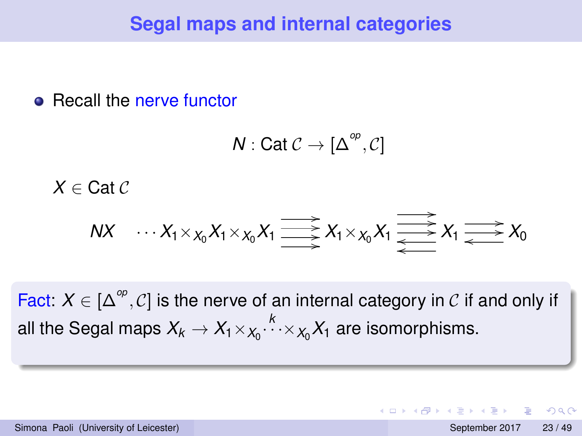### **Segal maps and internal categories**

#### • Recall the nerve functor

$$
N: Cat \mathcal{C} \rightarrow [\Delta^{\text{op}}, \mathcal{C}]
$$

 $X \in \text{Cat } C$ 

$$
NX \cdots X_1 \times_{X_0} X_1 \times_{X_0} X_1 \xrightarrow{\longrightarrow} X_1 \times_{X_0} X_1 \xrightarrow{\longrightarrow} X_1 \xrightarrow{\longrightarrow} X_0
$$

Fact:  $X \in [\Delta^{\circledcirc}, \mathcal{C}]$  is the nerve of an internal category in  $\mathcal{C}$  if and only if all the Segal maps  $X_k \to X_1 \times_{X_0}$ .<sup> $k$ </sup> $\times_{X_0}$  $X_1$  are isomorphisms.

 $\Omega$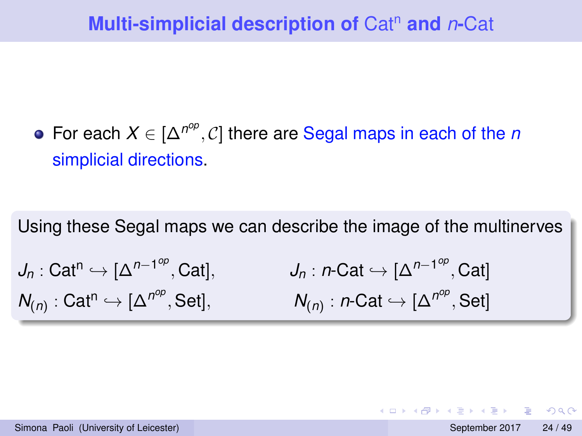For each  $X \in [\Delta^{n^{op}}, C]$  there are Segal maps in each of the *n* simplicial directions.

Using these Segal maps we can describe the image of the multinerves  $J_n: \mathsf{Cat}^n \hookrightarrow [\Delta^{n-1^{op}}]$ , Cat],  $J_n: n\text{-Cat} \hookrightarrow [\Delta^{n-1^{op}}, \text{Cat}]$ 

 $N_{(n)}$ : Cat<sup>n</sup>  $\hookrightarrow$  [ $\Delta^{n^{op}}$ , Set],  $N_{(n)}$ : *n*-Cat  $\hookrightarrow$   $[\Delta^{n^{op}},$  Set]

 $\Omega$ 

 $(0.125 \times 10^{-14} \text{ m}) \times 10^{-14} \text{ m}$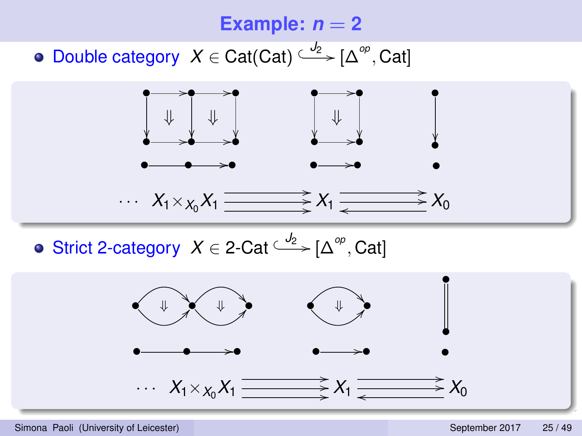#### **Example:**  $n = 2$

Double category  $X \in \text{Cat}(\text{Cat}) \xrightarrow{J_2} [\Delta^{op}, \text{Cat}]$ 



Strict 2-category  $X \in 2$ -Cat<sup> $\stackrel{J_2}{\longleftrightarrow} [\Delta^{\circ p}, \text{Cat}]$ </sup>

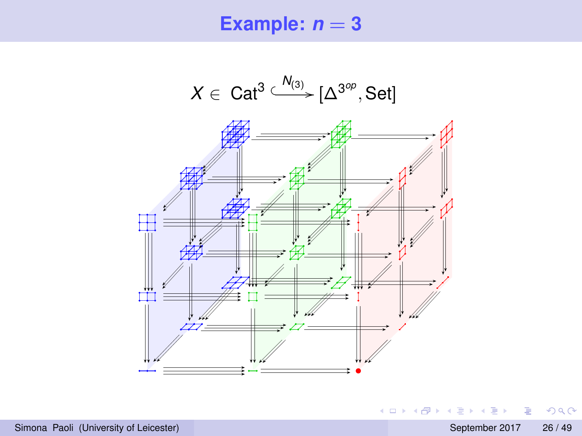#### **Example:**  $n = 3$

*X* ∈ Cat<sup>3</sup>  $\xrightarrow{N_{(3)}} [\Delta^{3^{op}}, Set]$ 



 $2990$ 

メロメメ 御き メミメメ 急ず 一番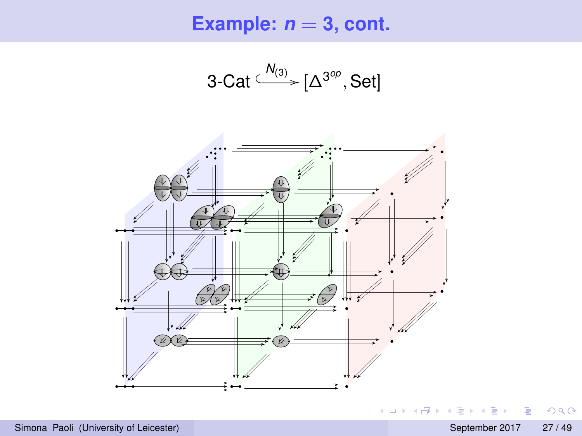**Example:**  $n = 3$ , cont.

$$
3\text{-Cat} \xrightarrow{\mathsf{N}_{(3)}} [\Delta^{3^{op}}, \text{Set}]
$$



 $2990$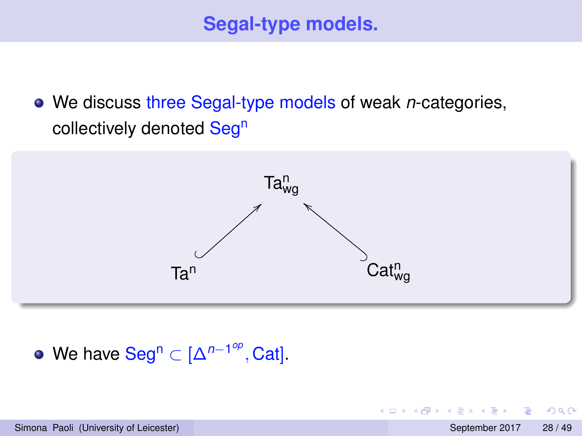We discuss three Segal-type models of weak *n*-categories, collectively denoted Seg<sup>n</sup>



We have Seg<sup>n</sup> ⊂ [∆<sup>*n*-1<sup>op</sup>, Cat].</sup>

E

 $\Omega$ 

不重 医不重 医

4 0 8 1  $\leftarrow$   $\leftarrow$   $\leftarrow$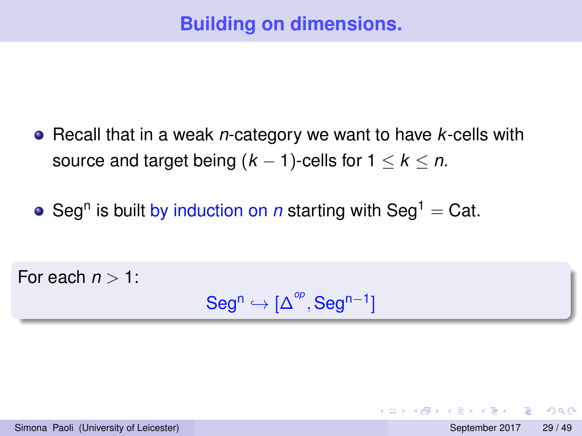- Recall that in a weak *n*-category we want to have *k*-cells with source and target being  $(k - 1)$ -cells for  $1 \leq k \leq n$ .
- Seg<sup>n</sup> is built by induction on *n* starting with Seg<sup>1</sup> = Cat.

For each  $n > 1$ :

 $\mathsf{Seg}^n \hookrightarrow [\Delta^{op}, \mathsf{Seg}^{n-1}]$ 

Simona Paoli (University of Leicester) September 2017 29 / 49

KET KALLAS YER EL VOO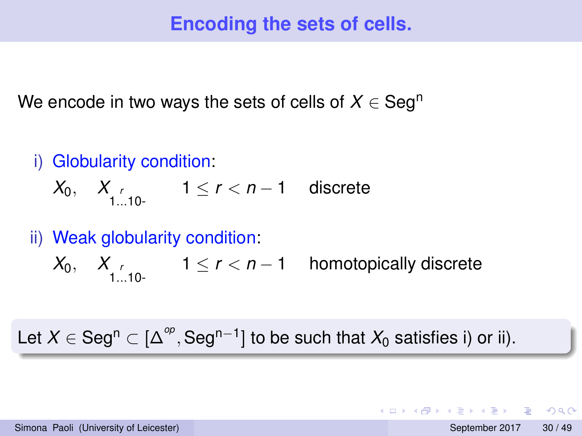# **Encoding the sets of cells.**

We encode in two ways the sets of cells of  $X \in \mathsf{Seg}^n$ 

- i) Globularity condition:
	- *X*<sub>0</sub>, *X*<sub>*r*</sub> 1≤ *r* < *n* − 1 discrete

ii) Weak globularity condition:

 $X_0, \quad X$ <sub>1...10</sub>.  $1 \le r < n-1$  homotopically discrete

Let  $X \in \mathsf{Seg^n} \subset [\Delta^{op},\mathsf{Seg^{n-1}}]$  to be such that  $X_0$  satisfies i) or ii).

KET KALLAS YER EL VOO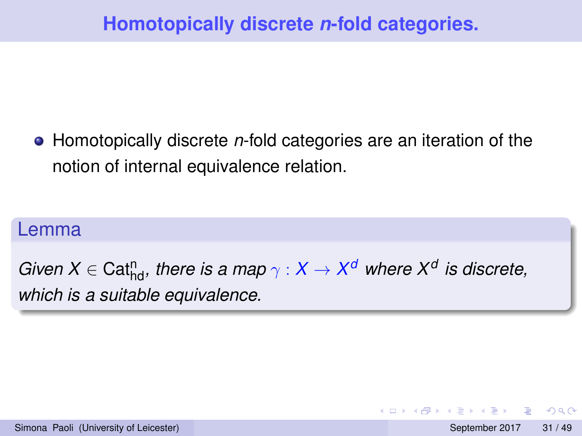Homotopically discrete *n*-fold categories are an iteration of the notion of internal equivalence relation.

#### Lemma

 $G$ *iven*  $X \in \text{Cat}^n_{\text{hd}}$ *, there is a map*  $\gamma : X \to X^d$  *where*  $X^d$  *is discrete, which is a suitable equivalence.*

 $\Omega$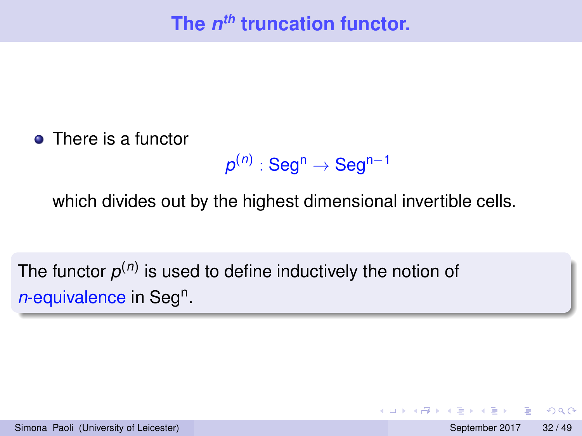• There is a functor

$$
\pmb{\rho}^{(n)}:\mathbf{Seg^n}\to\mathbf{Seg^{n-1}}
$$

which divides out by the highest dimensional invertible cells.

The functor  $\rho^{(n)}$  is used to define inductively the notion of n-equivalence in Seg<sup>n</sup>.

 $\Omega$ 

4 御 ⊁ 4 唐 ⊁ 4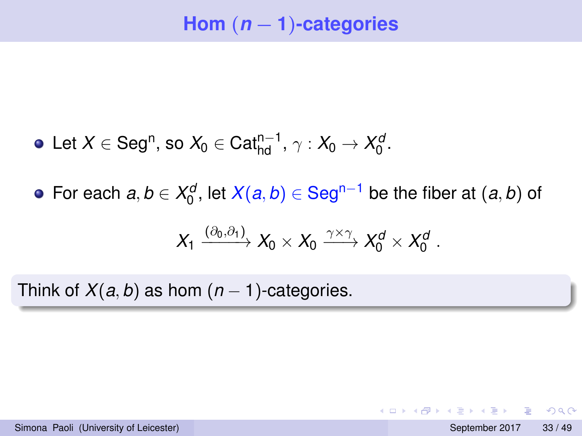- Let  $X \in \text{Seg}^n$ , so  $X_0 \in \text{Cat}^{n-1}_{\text{hd}}, \gamma : X_0 \to X_0^d$ .
- For each  $a, b \in X_0^d$ , let  $X(a, b) \in \text{Seg}^{n-1}$  be the fiber at  $(a, b)$  of

$$
X_1 \xrightarrow{(\partial_0,\partial_1)} X_0 \times X_0 \xrightarrow{\gamma \times \gamma} X_0^d \times X_0^d.
$$

Think of  $X(a, b)$  as hom  $(n - 1)$ -categories.

**KEIN KALLA BIN KEIN DE KORO**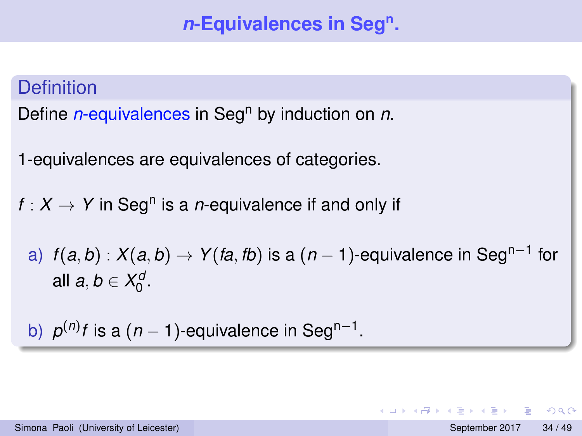# *n***-Equivalences in Seg<sup>n</sup> .**

# **Definition** Define *n*-equivalences in Seg<sup>n</sup> by induction on *n*. 1-equivalences are equivalences of categories.  $f: X \rightarrow Y$  in Seg<sup>n</sup> is a *n*-equivalence if and only if a)  $f(a,b): X(a,b) \rightarrow Y(ta,tb)$  is a  $(n-1)$ -equivalence in Seg<sup>n−1</sup> for all  $a, b \in X_0^d$ . b)  $p^{(n)}$ *f* is a  $(n - 1)$ -equivalence in Seg<sup>n-1</sup>.

Simona Paoli (University of Leicester) September 2017 34 / 49

KET KALLAS YER EL VOO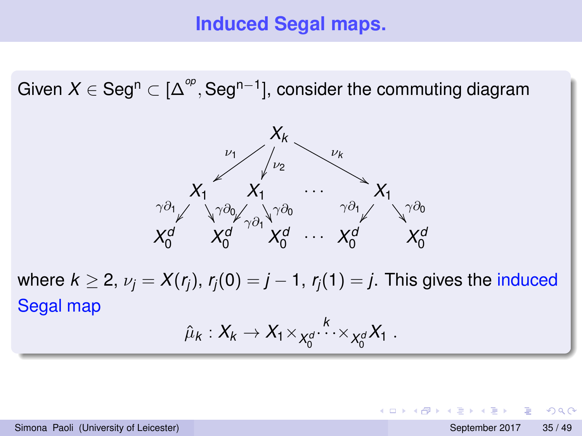#### **Induced Segal maps.**

Given  $X \in \operatorname{\mathsf{Seg}^{n}} \subset [\Delta^{\mathsf{op}},\operatorname{\mathsf{Seg}^{n-1}}]$ , consider the commuting diagram



where  $k \geq 2$ ,  $\nu_i = X(r_i)$ ,  $r_i(0) = j - 1$ ,  $r_i(1) = j$ . This gives the induced Segal map

$$
\hat{\mu}_k:X_k\to X_1\times_{X_0^d}X_k\cdots\times_{X_0^d}X_1.
$$

KET KALLAS YER EL VOO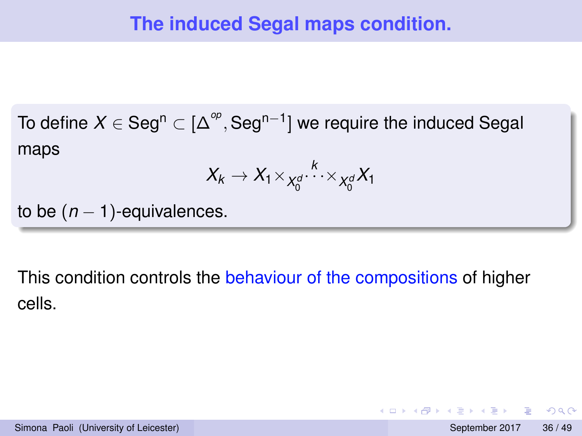To define  $X \in \mathsf{Seg}^{\mathsf{n}} \subset [\Delta^{op},\mathsf{Seg}^{\mathsf{n}-1}]$  we require the induced Segal maps

$$
X_k \to X_1 \times_{X_0^d} \cdots \times_{X_0^d} X_1
$$

to be  $(n - 1)$ -equivalences.

This condition controls the behaviour of the compositions of higher cells.

- 3

 $\Omega$ 

(ロトイ部)→(差)→(差)→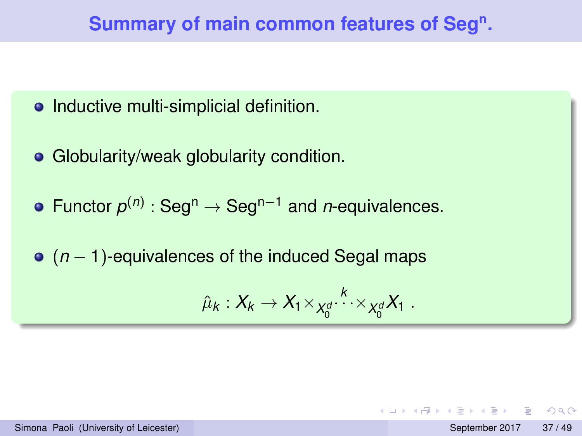# **Summary of main common features of Seg<sup>n</sup> .**

#### • Inductive multi-simplicial definition.

- Globularity/weak globularity condition.
- Functor *p* (*n*) : Seg<sup>n</sup> <sup>→</sup> Segn−<sup>1</sup> and *<sup>n</sup>*-equivalences.
- (*n* − 1)-equivalences of the induced Segal maps

$$
\hat{\mu}_k:X_k\to X_1\times_{X_0^d}X_k\cdots\times_{X_0^d}X_1.
$$

Simona Paoli (University of Leicester) September 2017 37/49

K □ ▶ K @ ▶ K 글 X K 글 X → 글 → 9 Q Q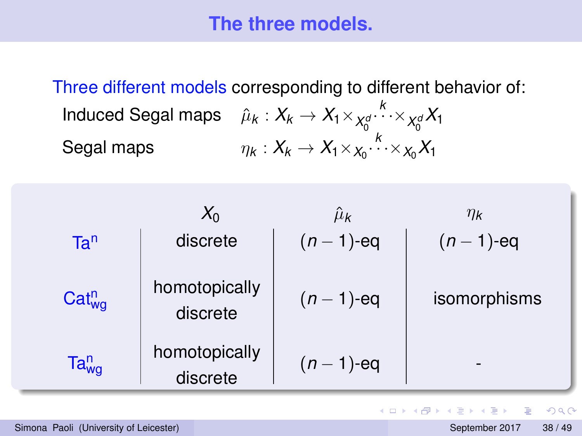#### **The three models.**

Three different models corresponding to different behavior of: Induced Segal maps  $\quad \hat{\mu}_k : X_k \to X_1 \times_{X_0^c}$ *k*  $\cdots \times_{X_0^d} X_1$ Segal maps  $\eta_k: X_k \to X_1 \times_{X_0} \cdots \times_{X_0} X_1$ 

|                 | $X_0$                     | $\hat{\mu}_{\bm k}$ | $\eta_{\mathbf{k}}$ |
|-----------------|---------------------------|---------------------|---------------------|
| Ta <sup>n</sup> | discrete                  | $(n - 1)$ -eq       | $(n-1)$ -eq         |
| $Cat_{wa}^n$    | homotopically<br>discrete | $(n - 1)$ -eq       | isomorphisms        |
| $Ta_{wg}^n$     | homotopically<br>discrete | $(n - 1)$ -eq       |                     |

в

 $\Omega$ 

 $\mathbf{A} \oplus \mathbf{A} \rightarrow \mathbf{A} \oplus \mathbf{A}$ 

4 **D + 4 P +**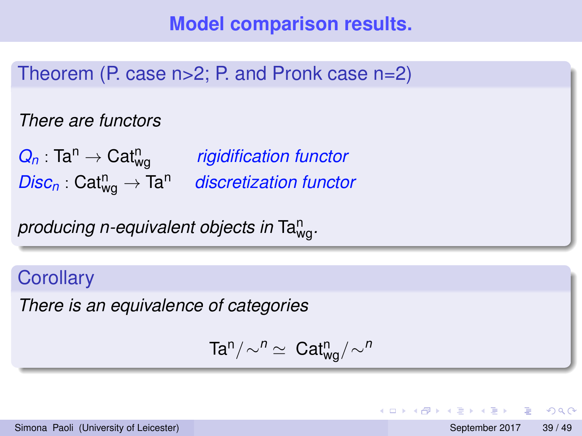Theorem (P. case n>2; P. and Pronk case n=2)

*There are functors*

 $Q_n$ : Ta<sup>n</sup>  $\rightarrow$  Cat<sub>wa</sub> *rigidification functor*  $Disc_n: Cat_{wa}^n \rightarrow Ta^n$ **discretization functor** 

*producing n-equivalent objects in* Ta<sup>n</sup> wg*.*

#### **Corollary**

*There is an equivalence of categories*

$$
\text{Ta}^n/\!\sim^n \ \simeq \ \text{Cat}^n_{wg}/\sim^n
$$

 $\Omega$ 

 $\mathbf{A} \oplus \mathbf{A} \rightarrow \mathbf{A} \oplus \mathbf{A}$ 

4 ロ ト ィ *同* ト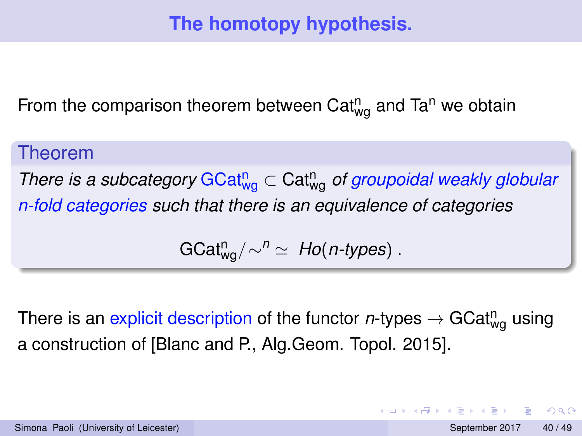# **The homotopy hypothesis.**

From the comparison theorem between Cat $_{\text{wg}}^{\text{n}}$  and Ta<sup>n</sup> we obtain

#### Theorem

*There is a subcategory* GCat<sup>n</sup><sub>wg</sub> ⊂ Cat<sup>n</sup><sub>wg</sub> of groupoidal weakly globular *n-fold categories such that there is an equivalence of categories*

$$
GCat_{wg}^{n}/\sim^{n} \simeq Ho(n\text{-types}) .
$$

There is an explicit description of the functor  $n$ -types  $\rightarrow$  GCat $^{\mathsf{n}}_{\mathsf{wg}}$  using a construction of [Blanc and P., Alg.Geom. Topol. 2015].

 $\Omega$ 

イロト イ押ト イヨト イヨ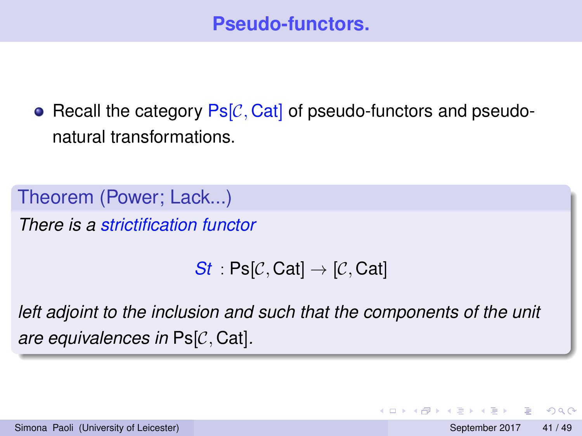• Recall the category  $\text{Ps}[\mathcal{C}, \text{Cat}]$  of pseudo-functors and pseudonatural transformations.

Theorem (Power; Lack...) *There is a strictification functor*

*St*  $:$  Ps[C, Cat]  $\rightarrow$  [C, Cat]

*left adjoint to the inclusion and such that the components of the unit are equivalences in* Ps[C, Cat]*.*

 $\Omega$ 

不重 的不重

4 ロ ト ィ *同* ト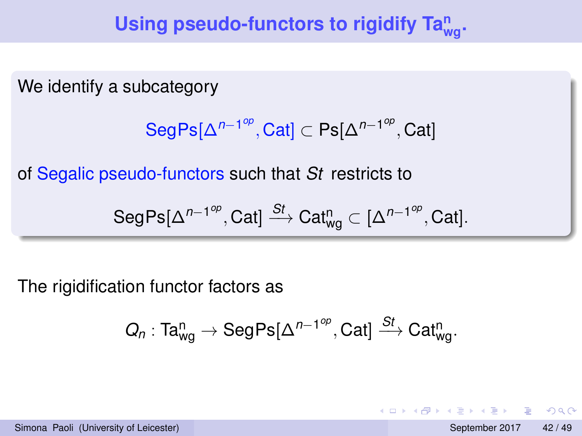# Using pseudo-functors to rigidify Ta $_{\text{wg}}^{\text{n}}$ .

We identify a subcategory

$$
\text{SegPs}[\Delta^{n-1^{op}}, \text{Cat}] \subset \text{Ps}[\Delta^{n-1^{op}}, \text{Cat}]
$$

of Segalic pseudo-functors such that *St* restricts to

$$
\mathsf{SegPs}[\Delta^{n-1^{op}},\mathsf{Cat}] \xrightarrow{St} \mathsf{Cat}_{\mathsf{wg}}^n \subset [\Delta^{n-1^{op}},\mathsf{Cat}].
$$

The rigidification functor factors as

$$
Q_n: \textnormal{Ta}^n_{\textnormal{wg}} \rightarrow \textnormal{SegPs}[\Delta^{n-1^{op}},\textnormal{Cat}] \overset{\textnormal{St}}{\longrightarrow} \textnormal{Cat}^n_{\textnormal{wg}}.
$$

 $\Omega$ 

4 17 18

 $\overline{a}$   $\overline{a}$   $\overline{b}$ 

 $\leftarrow$   $\equiv$   $\rightarrow$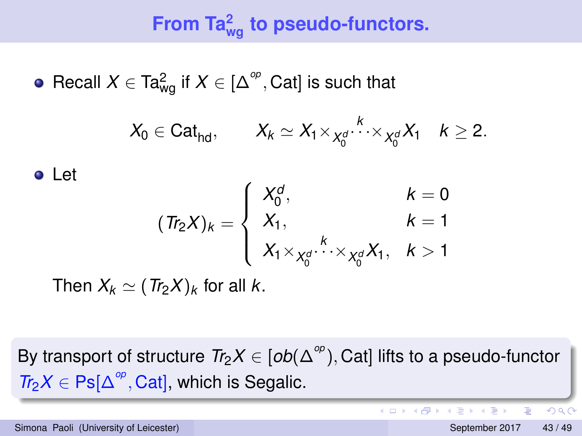# **From Ta<sup>2</sup> wg to pseudo-functors.**

Recall  $X \in \text{Ta}_{\text{wg}}^2$  if  $X \in [\Delta^\infty, \text{Cat}]$  is such that

$$
X_0\in \text{Cat}_{\text{hd}},\qquad X_k\simeq X_1\times_{X_0^d}\stackrel{k}{\cdots}\times_{X_0^d}X_1\quad k\geq 2.
$$

Let

$$
(Tr_2X)_k = \begin{cases} X_0^d, & k = 0\\ X_1, & k = 1\\ X_1 \times_{X_0^d} X_1, & k > 1 \end{cases}
$$

Then  $X_k \simeq (Tr_2 X)_k$  for all *k*.

By transport of structure  $Tr_2X \in [ob(\Delta^{\infty}),$  Cat] lifts to a pseudo-functor  $Tr_2X \in \text{Ps}[\Delta^{\text{op}}, \text{Cat}]$ , which is Segalic.

Simona Paoli (University of Leicester) September 2017 43 / 49

в

 $\Omega$ 

4 0 8 4 4 9 8 4 9 8 4 9 8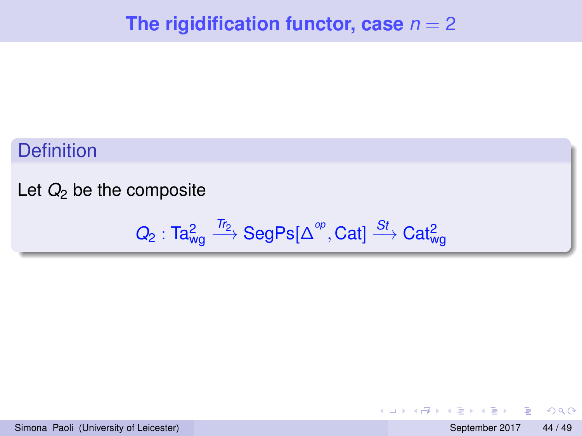#### **Definition**

#### Let  $Q_2$  be the composite

$$
Q_2: \textnormal{Ta}^2_{wg} \xrightarrow{\textnormal{Tr}_2} \textnormal{SegPs}[\Delta^\textnormal{op},\textnormal{Cat}] \xrightarrow{\textnormal{St}} \textnormal{Cat}^2_{wg}
$$

重

 $QQ$ 

 $(0,1)$   $(0,1)$   $(0,1)$   $(1,1)$   $(1,1)$   $(1,1)$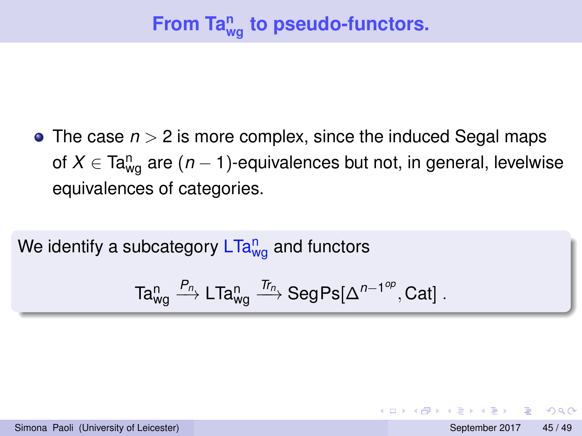• The case  $n > 2$  is more complex, since the induced Segal maps of  $X \in \textsf{Ta}^{\textsf{n}}_{\mathsf{wg}}$  are  $(n-1)$ -equivalences but not, in general, levelwise equivalences of categories.

We identify a subcategory LTa $^{\mathsf{n}}_{\mathsf{wg}}$  and functors

$$
\textnormal{Ta}_{\textnormal{wg}}^n \xrightarrow{P_n} \textnormal{LTa}_{\textnormal{wg}}^n \xrightarrow{T_{T_n}} \textnormal{SegPs}[\Delta^{n-1^{op}}, \textnormal{Cat}]\ .
$$

 $\Omega$ 

不重 的不重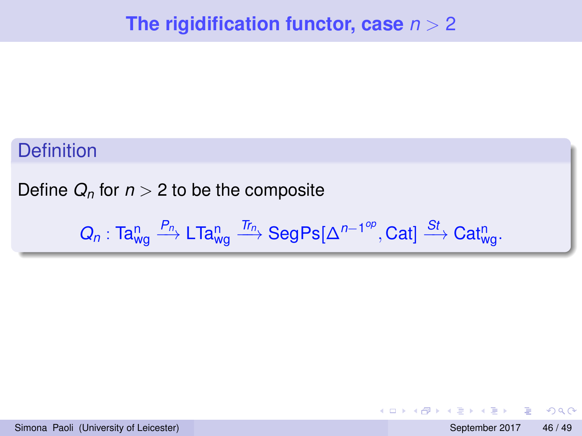#### **Definition**

Define  $Q_n$  for  $n > 2$  to be the composite

$$
Q_n: \textnormal{Ta}^n_{wg} \xrightarrow{P_n} \textnormal{LTa}^n_{wg} \xrightarrow{\textnormal{Tr}_n} \textnormal{SegPs}[\Delta^{n-1^{op}},\textnormal{Cat}] \xrightarrow{\textnormal{St}} \textnormal{Cat}^n_{wg}.
$$

в

 $QQ$ 

 $(0,1)$   $(0,1)$   $(0,1)$   $(1,1)$   $(1,1)$   $(1,1)$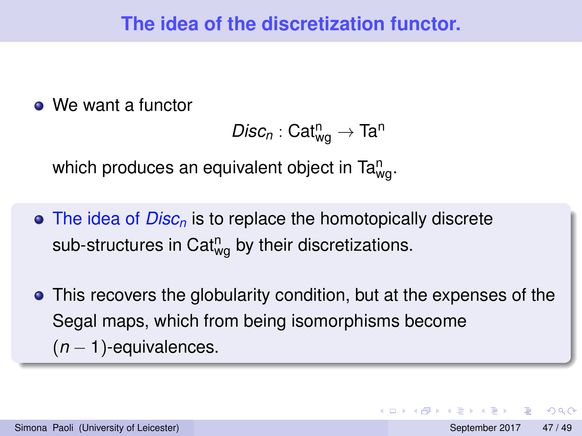• We want a functor

```
\mathsf{Disc}_n : \mathsf{Cat}^n_{\mathsf{wg}} \to \mathsf{Ta}^n
```
which produces an equivalent object in Ta $_{\mathsf{wg}}^{\mathsf{n}}.$ 

- The idea of *Disc<sup>n</sup>* is to replace the homotopically discrete sub-structures in Cat $_{\text{wg}}^{\text{n}}$  by their discretizations.
- This recovers the globularity condition, but at the expenses of the Segal maps, which from being isomorphisms become (*n* − 1)-equivalences.

 $\Omega$ 

 $4.39 \times 4.39$ 

**4 ロト 4 何 ト**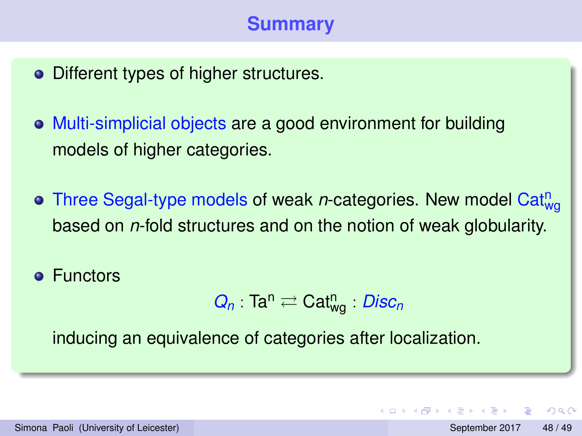# **Summary**

- Different types of higher structures.
- Multi-simplicial objects are a good environment for building models of higher categories.
- Three Segal-type models of weak *n*-categories. New model Cat<sub>wg</sub> based on *n*-fold structures and on the notion of weak globularity.
- **•** Functors

$$
Q_n: \text{Ta}^n \rightleftarrows \text{Cat}^n_{wg} \cdot \text{Disc}_n
$$

inducing an equivalence of categories after localization.

 $\Omega$